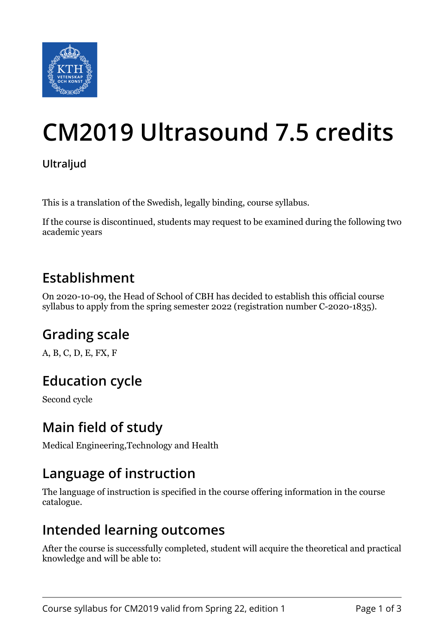

# **CM2019 Ultrasound 7.5 credits**

#### **Ultraljud**

This is a translation of the Swedish, legally binding, course syllabus.

If the course is discontinued, students may request to be examined during the following two academic years

# **Establishment**

On 2020-10-09, the Head of School of CBH has decided to establish this official course syllabus to apply from the spring semester 2022 (registration number C-2020-1835).

# **Grading scale**

A, B, C, D, E, FX, F

# **Education cycle**

Second cycle

### **Main field of study**

Medical Engineering,Technology and Health

### **Language of instruction**

The language of instruction is specified in the course offering information in the course catalogue.

### **Intended learning outcomes**

After the course is successfully completed, student will acquire the theoretical and practical knowledge and will be able to: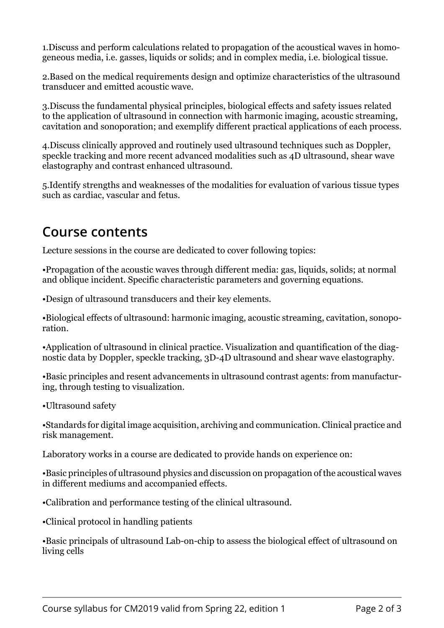1.Discuss and perform calculations related to propagation of the acoustical waves in homogeneous media, i.e. gasses, liquids or solids; and in complex media, i.e. biological tissue.

2.Based on the medical requirements design and optimize characteristics of the ultrasound transducer and emitted acoustic wave.

3.Discuss the fundamental physical principles, biological effects and safety issues related to the application of ultrasound in connection with harmonic imaging, acoustic streaming, cavitation and sonoporation; and exemplify different practical applications of each process.

4.Discuss clinically approved and routinely used ultrasound techniques such as Doppler, speckle tracking and more recent advanced modalities such as 4D ultrasound, shear wave elastography and contrast enhanced ultrasound.

5.Identify strengths and weaknesses of the modalities for evaluation of various tissue types such as cardiac, vascular and fetus.

#### **Course contents**

Lecture sessions in the course are dedicated to cover following topics:

•Propagation of the acoustic waves through different media: gas, liquids, solids; at normal and oblique incident. Specific characteristic parameters and governing equations.

•Design of ultrasound transducers and their key elements.

•Biological effects of ultrasound: harmonic imaging, acoustic streaming, cavitation, sonoporation.

•Application of ultrasound in clinical practice. Visualization and quantification of the diagnostic data by Doppler, speckle tracking, 3D-4D ultrasound and shear wave elastography.

•Basic principles and resent advancements in ultrasound contrast agents: from manufacturing, through testing to visualization.

•Ultrasound safety

•Standards for digital image acquisition, archiving and communication. Clinical practice and risk management.

Laboratory works in a course are dedicated to provide hands on experience on:

•Basic principles of ultrasound physics and discussion on propagation of the acoustical waves in different mediums and accompanied effects.

•Calibration and performance testing of the clinical ultrasound.

•Clinical protocol in handling patients

•Basic principals of ultrasound Lab-on-chip to assess the biological effect of ultrasound on living cells